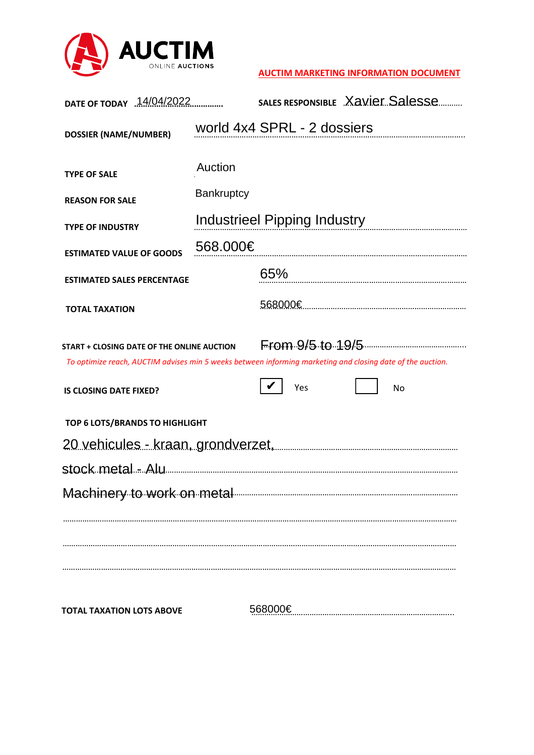

## **AUCTIM MARKETING INFORMATION DOCUMENT**

| DATE OF TODAY 14/04/2022                                                                                                                                                                         |                              |                                     | SALES RESPONSIBLE Xavier Salesse |  |
|--------------------------------------------------------------------------------------------------------------------------------------------------------------------------------------------------|------------------------------|-------------------------------------|----------------------------------|--|
| <b>DOSSIER (NAME/NUMBER)</b>                                                                                                                                                                     |                              | world 4x4 SPRL - 2 dossiers         |                                  |  |
| <b>TYPE OF SALE</b><br><b>REASON FOR SALE</b>                                                                                                                                                    | Auction<br><b>Bankruptcy</b> | <b>Industrieel Pipping Industry</b> |                                  |  |
| <b>TYPE OF INDUSTRY</b>                                                                                                                                                                          | 568.000€                     |                                     |                                  |  |
| <b>ESTIMATED VALUE OF GOODS</b><br><b>ESTIMATED SALES PERCENTAGE</b>                                                                                                                             |                              | 65%                                 |                                  |  |
| <b>TOTAL TAXATION</b>                                                                                                                                                                            |                              |                                     |                                  |  |
| <b>START + CLOSING DATE OF THE ONLINE AUCTION</b><br>To optimize reach, AUCTIM advises min 5 weeks between informing marketing and closing date of the auction.<br><b>IS CLOSING DATE FIXED?</b> |                              | Yes                                 | From.9/5.10.19/5<br>No           |  |
| TOP 6 LOTS/BRANDS TO HIGHLIGHT                                                                                                                                                                   |                              |                                     |                                  |  |
| <u> 20 vehicules - kraan, grondverzet, maailman maailman maailman maail</u>                                                                                                                      |                              |                                     |                                  |  |
|                                                                                                                                                                                                  |                              |                                     |                                  |  |
| Machinery to work on metal                                                                                                                                                                       |                              |                                     |                                  |  |
|                                                                                                                                                                                                  |                              |                                     |                                  |  |
| <b>TOTAL TAXATION LOTS ABOVE</b>                                                                                                                                                                 |                              | 568000€                             |                                  |  |